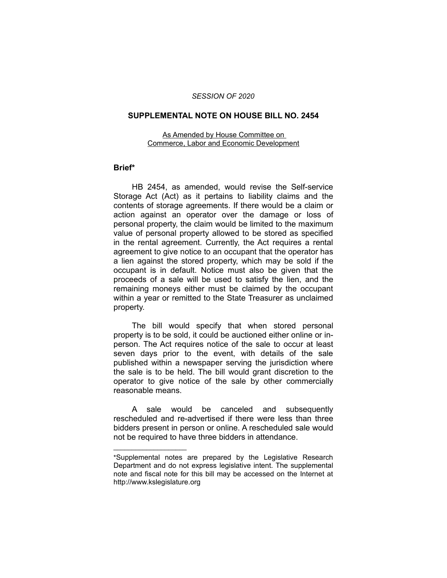## *SESSION OF 2020*

## **SUPPLEMENTAL NOTE ON HOUSE BILL NO. 2454**

As Amended by House Committee on Commerce, Labor and Economic Development

## **Brief\***

HB 2454, as amended, would revise the Self-service Storage Act (Act) as it pertains to liability claims and the contents of storage agreements. If there would be a claim or action against an operator over the damage or loss of personal property, the claim would be limited to the maximum value of personal property allowed to be stored as specified in the rental agreement. Currently, the Act requires a rental agreement to give notice to an occupant that the operator has a lien against the stored property, which may be sold if the occupant is in default. Notice must also be given that the proceeds of a sale will be used to satisfy the lien, and the remaining moneys either must be claimed by the occupant within a year or remitted to the State Treasurer as unclaimed property.

The bill would specify that when stored personal property is to be sold, it could be auctioned either online or inperson. The Act requires notice of the sale to occur at least seven days prior to the event, with details of the sale published within a newspaper serving the jurisdiction where the sale is to be held. The bill would grant discretion to the operator to give notice of the sale by other commercially reasonable means.

A sale would be canceled and subsequently rescheduled and re-advertised if there were less than three bidders present in person or online. A rescheduled sale would not be required to have three bidders in attendance.

 $\overline{\phantom{a}}$  , where  $\overline{\phantom{a}}$  , where  $\overline{\phantom{a}}$ 

<sup>\*</sup>Supplemental notes are prepared by the Legislative Research Department and do not express legislative intent. The supplemental note and fiscal note for this bill may be accessed on the Internet at http://www.kslegislature.org